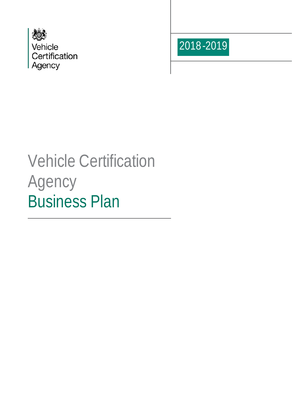



# Vehicle Certification Agency Business Plan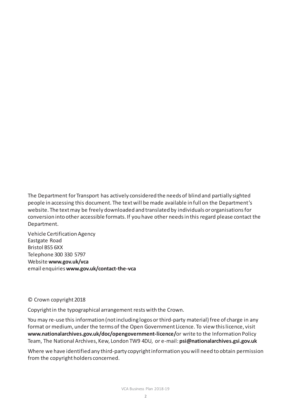The Department for Transport has actively considered the needs of blind and partially sighted people in accessing this document. The text will be made available in full on the Department's website. The text may be freely downloaded and translated by individuals or organisationsfor conversion into other accessible formats. If you have other needs in this regard please contact the Department.

Vehicle Certification Agency Eastgate Road Bristol BS5 6XX Telephone 300 330 5797 Website **www.gov.uk/vca** email enquiries **www.gov.uk/contact-the-vca**

#### © Crown copyright 2018

Copyright in the typographical arrangement rests with the Crown.

You may re-use this information (not including logos or third-party material) free of charge in any format or medium, under the terms of the Open Government Licence. To view this licence, visit **[www.nationalarchives.gov.uk/doc/opengovernment-licence/](http://www.nationalarchives.gov.uk/doc/opengovernment-licence/or)**or write to the Information Policy Team, The National Archives, Kew, London TW9 4DU, or e-mail: **[psi@nationalarchives.gsi.gov.uk](mailto:psi@nationalarchives.gsi.gov.uk)**

Where we have identified any third-party copyright information you will need to obtain permission from the copyright holders concerned.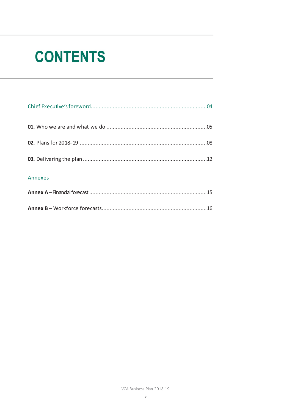# **CONTENTS**

| Annexes |  |
|---------|--|
|         |  |
|         |  |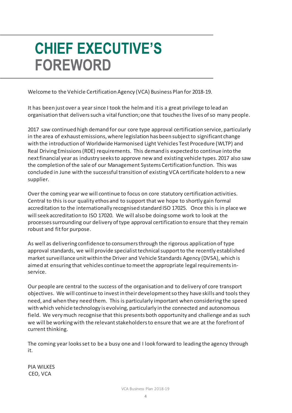# **CHIEF EXECUTIVE'S FOREWORD**

Welcome to the Vehicle Certification Agency (VCA) Business Plan for 2018-19.

It has been just over a year since I took the helm and it is a great privilege to lead an organisation that delivers such a vital function; one that touches the lives of so many people.

2017 saw continued high demand for our core type approval certification service, particularly in the area of exhaust emissions, where legislation has been subject to significant change with the introduction of Worldwide Harmonised Light Vehicles Test Procedure (WLTP) and Real Driving Emissions (RDE) requirements. This demand is expected to continue into the next financial year as industry seeks to approve new and existing vehicle types. 2017 also saw the completion of the sale of our Management Systems Certification function. This was concluded in June with the successful transition of existing VCA certificate holders to a new supplier.

Over the coming year we will continue to focus on core statutory certification activities. Central to this is our quality ethos and to support that we hope to shortly gain formal accreditation to the internationally recognised standard ISO 17025. Once this is in place we will seek accreditation to ISO 17020. We will also be doing some work to look at the processes surrounding our delivery of type approval certification to ensure that they remain robust and fit for purpose.

As well as delivering confidence to consumers through the rigorous application of type approval standards, we will provide specialist technical support to the recently established market surveillance unit within the Driver and Vehicle Standards Agency (DVSA), which is aimed at ensuring that vehicles continue to meet the appropriate legal requirements inservice.

Our people are central to the success of the organisation and to delivery of core transport objectives. We will continue to invest in their development so they have skills and tools they need, and when they need them. This is particularly important when considering the speed with which vehicle technology is evolving, particularly in the connected and autonomous field. We very much recognise that this presents both opportunity and challenge and as such we will be working with the relevant stakeholders to ensure that we are at the forefront of current thinking.

The coming year looks set to be a busy one and I look forward to leading the agency through it.

PIA WILKES CEO, VCA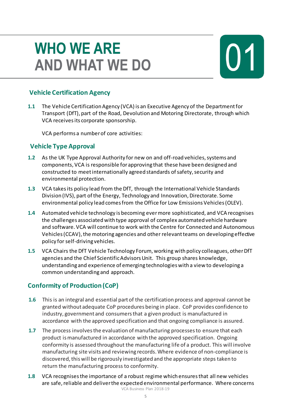# **WHO WE ARE AND WHAT WE DO**

## **Vehicle Certification Agency**

**1.1** The Vehicle Certification Agency (VCA) is an Executive Agency of the Department for Transport (DfT), part of the Road, Devolution and Motoring Directorate, through which VCA receives its corporate sponsorship.

VCA performs a number of core activities:

### **Vehicle Type Approval**

- **1.2** As the UK Type Approval Authority for new on and off-road vehicles, systems and components, VCA is responsible for approving that these have been designed and constructed to meet internationally agreed standards of safety, security and environmental protection.
- **1.3** VCA takes its policy lead from the DfT, through the International Vehicle Standards Division (IVS), part of the Energy, Technology and Innovation, Directorate. Some environmental policy lead comes from the Office for Low Emissions Vehicles (OLEV).
- **1.4** Automated vehicle technology is becoming ever more sophisticated, and VCA recognises the challenges associated with type approval of complex automated vehicle hardware and software. VCA will continue to work with the Centre for Connected and Autonomous Vehicles (CCAV), the motoring agencies and other relevant teams on developing effective policy for self-driving vehicles.
- **1.5** VCA Chairs the DfT Vehicle Technology Forum, working with policy colleagues, other DfT agencies and the Chief Scientific Advisors Unit. This group shares knowledge, understanding and experience of emerging technologies with a view to developing a common understanding and approach.

### **Conformity of Production (CoP)**

- **1.6** This is an integral and essential part of the certification process and approval cannot be granted without adequate CoP procedures being in place. CoP provides confidence to industry, government and consumers that a given product is manufactured in accordance with the approved specification and that ongoing compliance is assured.
- **1.7** The process involves the evaluation of manufacturing processes to ensure that each product is manufactured in accordance with the approved specification. Ongoing conformity is assessed throughout the manufacturing life of a product. This will involve manufacturing site visits and reviewing records. Where evidence of non-compliance is discovered, this will be rigorously investigated and the appropriate steps taken to return the manufacturing process to conformity.
- VCA Business Plan 2018-19 **1.8** VCA recognises the importance of a robust regime which ensuresthat all new vehicles are safe, reliable and deliver the expected environmental performance. Where concerns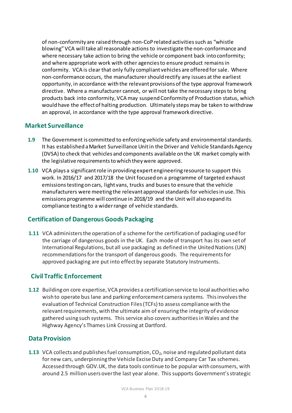of non-conformity are raised through non-CoP related activities such as "whistle blowing" VCA will take all reasonable actions to investigate the non-conformance and where necessary take action to bring the vehicle or component back into conformity; and where appropriate work with other agencies to ensure product remains in conformity. VCA is clear that only fully compliant vehicles are offered forsale. Where non-conformance occurs, the manufacturer should rectify any issues at the earliest opportunity, in accordance with the relevant provisions of the type approval framework directive. Where a manufacturer cannot, or will not take the necessary steps to bring products back into conformity, VCA may suspend Conformity of Production status, which would have the effect of halting production. Ultimately steps may be taken to withdraw an approval, in accordance with the type approval framework directive.

### **Market Surveillance**

- **1.9** The Government is committed to enforcing vehicle safety and environmental standards. It has established a Market Surveillance Unit in the Driver and Vehicle Standards Agency (DVSA) to check that vehicles and components available on the UK market comply with the legislative requirements to which they were approved.
- **1.10** VCA plays a significant role in providing expert engineering resource to support this work. In 2016/17 and 2017/18 the Unit focused on a programme of targeted exhaust emissions testing on cars, light vans, trucks and buses to ensure that the vehicle manufacturers were meeting the relevant approval standards for vehicles in use. This emissions programme will continue in 2018/19 and the Unit will also expand its compliance testing to a wider range of vehicle standards.

### **Certification of Dangerous Goods Packaging**

**1.11** VCA administers the operation of a scheme for the certification of packaging used for the carriage of dangerous goods in the UK. Each mode of transport has its own set of International Regulations, but all use packaging as defined in the United Nations (UN) recommendations for the transport of dangerous goods. The requirements for approved packaging are put into effect by separate Statutory Instruments.

### **Civil Traffic Enforcement**

**1.12** Building on core expertise, VCA provides a certification service to local authorities who wish to operate bus lane and parking enforcement camera systems. This involves the evaluation of Technical Construction Files (TCFs) to assess compliance with the relevant requirements, with the ultimate aim of ensuring the integrity of evidence gathered using such systems. This service also covers authorities in Wales and the Highway Agency's Thames Link Crossing at Dartford.

#### **Data Provision**

**1.13** VCA collects and publishes fuel consumption, CO<sub>2</sub>, noise and regulated pollutant data for new cars, underpinning the Vehicle Excise Duty and Company Car Tax schemes. Accessed through GOV.UK, the data tools continue to be popular with consumers, with around 2.5 million users over the last year alone. This supports Government's strategic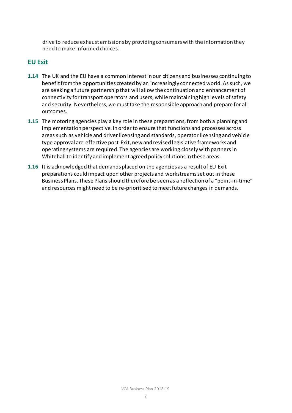drive to reduce exhaust emissions by providing consumers with the information they need to make informed choices.

#### **EU Exit**

- **1.14** The UK and the EU have a common interest in our citizens and businesses continuing to benefit from the opportunities created by an increasingly connected world. As such, we are seeking a future partnership that will allow the continuation and enhancement of connectivity for transport operators and users, while maintaining high levels of safety and security. Nevertheless, we must take the responsible approach and prepare for all outcomes.
- **1.15** The motoring agencies play a key role in these preparations, from both a planning and implementation perspective. In order to ensure that functions and processes across areas such as vehicle and driver licensing and standards, operator licensing and vehicle type approval are effective post-Exit, new and revised legislative frameworks and operating systems are required. The agencies are working closely with partners in Whitehall to identify and implement agreed policy solutions in these areas.
- **1.16** It is acknowledged that demands placed on the agencies as a result of EU Exit preparations could impact upon other projects and workstreams set out in these Business Plans. These Plans should therefore be seen as a reflection of a "point-in-time" and resources might need to be re-prioritised to meet future changes in demands.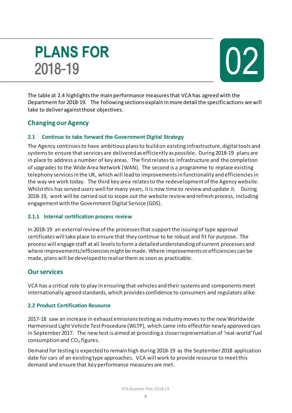# **PLANS FOR** 2018-19



The table at 2.4 highlights the main performance measures that VCA has agreed with the Department for 2018-19. The following sections explain in more detail the specific actions we will take to deliver against those objectives.

### **Changing our Agency**

#### **2.1 Continue to take forward the Government Digital Strategy**

The Agency continues to have ambitious plans to build on existing infrastructure, digital tools and systems to ensure that services are delivered as efficiently as possible. During 2018-19 plans are in place to address a number of key areas. The first relatesto infrastructure and the completion of upgrades to the Wide Area Network (WAN). The second is a programme to replace existing telephony services in the UK, which will lead to improvements in functionality and efficiencies in the way we work today. The third key area relates to the redevelopment of the Agency website. Whilst this has served users well for many years, it is now time to review and update it. During 2018-19, work will be carried out to scope out the website review and refresh process, including engagement with the Government Digital Service (GDS).

#### **2.1.1 Internal certification process review**

In 2018-19 an external review of the processes that support the issuing of type approval certificateswill take place to ensure that they continue to be robust and fit for purpose. The process will engage staff at all levels to form a detailed understanding of current processes and where improvements/efficiencies might be made. Where improvements or efficiencies can be made, plans will be developed to realise them as soon as practicable.

### **Our services**

VCA has a critical role to play in ensuring that vehicles and their systems and components meet internationally agreed standards, which provides confidence to consumers and regulators alike.

#### **2.2 Product Certification Resource**

2017-18 saw an increase in exhaust emissions testing as industry moves to the new Worldwide Harmonised Light Vehicle Test Procedure (WLTP), which came into effect for newly approved cars in September 2017. The new test is aimed at providing a closer representation of 'real-world' fuel consumption and  $CO<sub>2</sub>$  figures.

Demand for testing is expected to remain high during 2018-19 as the September 2018 application date for cars of an existing type approaches. VCA will work to provide resource to meet this demand and ensure that key performance measures are met.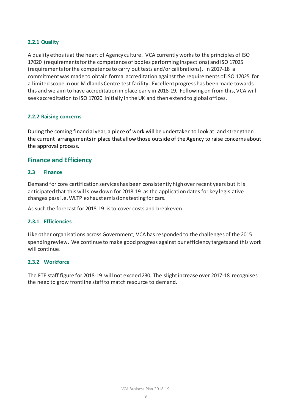#### **2.2.1 Quality**

A quality ethos is at the heart of Agency culture. VCA currently works to the principles of ISO 17020 (requirements for the competence of bodies performing inspections) and ISO 17025 (requirements for the competence to carry out tests and/or calibrations). In 2017-18 a commitment was made to obtain formal accreditation against the requirements of ISO 17025 for a limited scope in our Midlands Centre test facility. Excellent progress has been made towards this and we aim to have accreditation in place early in 2018-19. Following on from this, VCA will seek accreditation to ISO 17020 initially in the UK and then extend to global offices.

#### **2.2.2 Raising concerns**

During the coming financial year, a piece of work will be undertaken to look at and strengthen the current arrangements in place that allow those outside of the Agency to raise concerns about the approval process.

#### **Finance and Efficiency**

#### **2.3 Finance**

Demand for core certification services has been consistently high over recent years but it is anticipated that this will slow down for 2018-19 as the application dates for key legislative changes pass i.e. WLTP exhaust emissions testing for cars.

As such the forecast for 2018-19 is to cover costs and breakeven.

#### **2.3.1 Efficiencies**

Like other organisations across Government, VCA has responded to the challenges of the 2015 spending review. We continue to make good progress against our efficiency targets and this work will continue.

#### **2.3.2 Workforce**

The FTE staff figure for 2018-19 will not exceed 230. The slight increase over 2017-18 recognises the need to grow frontline staff to match resource to demand.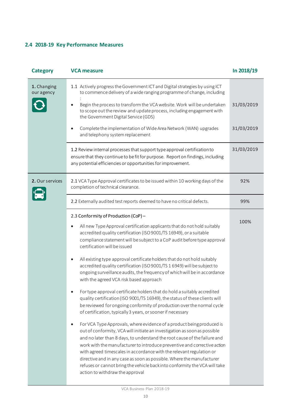### **2.4 2018-19 Key Performance Measures**

| <b>Category</b>           | <b>VCA measure</b>                                                                                                                                                                                                                                                                                                                                                                                                                                                                                                                                                            | In 2018/19 |
|---------------------------|-------------------------------------------------------------------------------------------------------------------------------------------------------------------------------------------------------------------------------------------------------------------------------------------------------------------------------------------------------------------------------------------------------------------------------------------------------------------------------------------------------------------------------------------------------------------------------|------------|
| 1. Changing<br>our agency | 1.1 Actively progress the Government ICT and Digital strategies by using ICT<br>to commence delivery of a wide ranging programme of change, including                                                                                                                                                                                                                                                                                                                                                                                                                         |            |
|                           | Begin the process to transform the VCA website. Work will be undertaken<br>$\bullet$<br>to scope out the review and update process, including engagement with<br>the Government Digital Service (GDS)                                                                                                                                                                                                                                                                                                                                                                         | 31/03/2019 |
|                           | Complete the implementation of Wide Area Network (WAN) upgrades<br>and telephony system replacement                                                                                                                                                                                                                                                                                                                                                                                                                                                                           | 31/03/2019 |
|                           | 1.2 Review internal processes that support type approval certification to<br>ensure that they continue to be fit for purpose. Report on findings, including<br>any potential efficiencies or opportunities for improvement.                                                                                                                                                                                                                                                                                                                                                   | 31/03/2019 |
| 2. Our services           | 2.1 VCA Type Approval certificates to be issued within 10 working days of the<br>completion of technical clearance.                                                                                                                                                                                                                                                                                                                                                                                                                                                           | 92%        |
|                           | 2.2 Externally audited test reports deemed to have no critical defects.                                                                                                                                                                                                                                                                                                                                                                                                                                                                                                       | 99%        |
|                           | 2.3 Conformity of Production (CoP) -                                                                                                                                                                                                                                                                                                                                                                                                                                                                                                                                          | 100%       |
|                           | All new Type Approval certification applicants that do not hold suitably<br>accredited quality certification (ISO 9001/TS 16949), or a suitable<br>compliance statement will be subject to a CoP audit before type approval<br>certification will be issued                                                                                                                                                                                                                                                                                                                   |            |
|                           | All existing type approval certificate holders that do not hold suitably<br>accredited quality certification (ISO 9001/TS 1 6949) will be subject to<br>ongoing surveillance audits, the frequency of which will be in accordance<br>with the agreed VCA risk based approach                                                                                                                                                                                                                                                                                                  |            |
|                           | For type approval certificate holders that do hold a suitably accredited<br>quality certification (ISO 9001/TS 16949), the status of these clients will<br>be reviewed for ongoing conformity of production over the normal cycle<br>of certification, typically 3 years, or sooner if necessary                                                                                                                                                                                                                                                                              |            |
|                           | For VCA Type Approvals, where evidence of a product being produced is<br>out of conformity, VCA will initiate an investigation as soon as possible<br>and no later than 8 days, to understand the root cause of the failure and<br>work with the manufacturer to introduce preventive and corrective action<br>with agreed timescales in accordance with the relevant regulation or<br>directive and in any case as soon as possible. Where the manufacturer<br>refuses or cannot bring the vehicle back into conformity the VCA will take<br>action to withdraw the approval |            |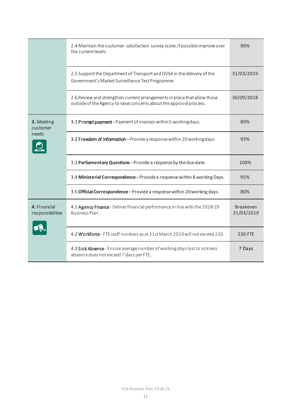|                                  | 2.4 Maintain the customer satisfaction survey score, if possible improve over<br>the current levels                                             | 90%                            |
|----------------------------------|-------------------------------------------------------------------------------------------------------------------------------------------------|--------------------------------|
|                                  | 2.5 Support the Department of Transport and DVSA in the delivery of the<br>Government's Market Surveillance Test Programme.                     | 31/03/2019                     |
|                                  | 2.6 Review and strengthen current arrangements in place that allow those<br>outside of the Agency to raise concerns about the approval process. | 30/09/2018                     |
| 3. Meeting<br>customer<br>needs  | 3.1 Prompt payment - Payment of invoices within 5 working days.                                                                                 | 80%                            |
|                                  | 3.2 Freedom of Information-Provide a response within 20 working days.                                                                           | 93%                            |
|                                  | 3.3 Parliamentary Questions-Provide a response by the due date.                                                                                 | 100%                           |
|                                  | 3.4 Ministerial Correspondence - Provide a response within 8 working Days.                                                                      | 95%                            |
|                                  | 3.5 Official Correspondence-Provide a response within 20 working days.                                                                          | 80%                            |
| 4. Financial<br>responsibilities | 4.1 Agency Finance - Deliver financial performance in line with the 2018-19<br>Business Plan.                                                   | <b>Breakeven</b><br>31/03/2019 |
|                                  | 4.2 Workforce - FTE staff numbers as at 31st March 2019 will not exceed 230.                                                                    | <b>230 FTE</b>                 |
|                                  | 4.3 Sick Absence - Ensure average number of working days lost to sickness<br>absence does not exceed 7 days per FTE.                            | 7 Days                         |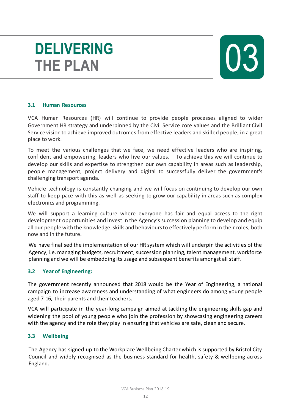# **DELIVERING THE PLAN**



#### **3.1 Human Resources**

VCA Human Resources (HR) will continue to provide people processes aligned to wider Government HR strategy and underpinned by the Civil Service core values and the Brilliant Civil Service vision to achieve improved outcomes from effective leaders and skilled people, in a great place to work.

To meet the various challenges that we face, we need effective leaders who are inspiring, confident and empowering; leaders who live our values. To achieve this we will continue to develop our skills and expertise to strengthen our own capability in areas such as leadership, people management, project delivery and digital to successfully deliver the government's challenging transport agenda.

Vehicle technology is constantly changing and we will focus on continuing to develop our own staff to keep pace with this as well as seeking to grow our capability in areas such as complex electronics and programming.

We will support a learning culture where everyone has fair and equal access to the right development opportunities and invest in the Agency's succession planning to develop and equip all our people with the knowledge, skills and behaviours to effectively perform in their roles, both now and in the future.

We have finalised the implementation of our HR system which will underpin the activities of the Agency, i.e. managing budgets, recruitment, succession planning, talent management, workforce planning and we will be embedding its usage and subsequent benefits amongst all staff.

#### **3.2 Year of Engineering:**

The government recently announced that 2018 would be the Year of Engineering, a national campaign to increase awareness and understanding of what engineers do among young people aged 7-16, their parents and their teachers.

VCA will participate in the year-long campaign aimed at tackling the engineering skills gap and widening the pool of young people who join the profession by showcasing engineering careers with the agency and the role they play in ensuring that vehicles are safe, clean and secure.

#### **3.3 Wellbeing**

The Agency has signed up to the Workplace Wellbeing Charter which is supported by Bristol City Council and widely recognised as the business standard for health, safety & wellbeing across England.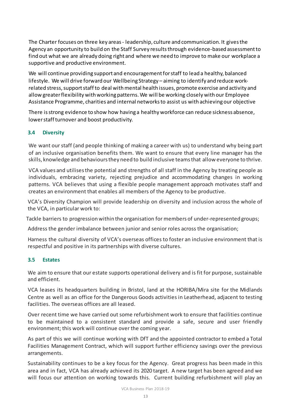The Charter focuses on three key areas - leadership, culture and communication. It gives the Agency an opportunity to build on the Staff Survey results through evidence-based assessment to find out what we are already doing right and where we need to improve to make our workplace a supportive and productive environment.

We will continue providing support and encouragement for staff to lead a healthy, balanced lifestyle. We will drive forward our Wellbeing Strategy – aiming to identify and reduce workrelated stress, support staff to deal with mental health issues, promote exercise and activity and allow greater flexibility with working patterns. We will be working closely with our Employee Assistance Programme, charities and internal networks to assist us with achieving our objective

There is strong evidence to show how having a healthy workforce can reduce sickness absence, lower staff turnover and boost productivity.

#### **3.4 Diversity**

We want our staff (and people thinking of making a career with us) to understand why being part of an inclusive organisation benefits them. We want to ensure that every line manager has the skills, knowledge and behaviours they need to build inclusive teams that allow everyone to thrive.

VCA values and utilises the potential and strengths of all staff in the Agency by treating people as individuals, embracing variety, rejecting prejudice and accommodating changes in working patterns. VCA believes that using a flexible people management approach motivates staff and creates an environment that enables all members of the Agency to be productive.

VCA's Diversity Champion will provide leadership on diversity and inclusion across the whole of the VCA, in particular work to:

Tackle barriers to progression within the organisation for members of under-represented groups;

Address the gender imbalance between junior and senior roles across the organisation;

Harness the cultural diversity of VCA's overseas offices to foster an inclusive environment that is respectful and positive in its partnerships with diverse cultures.

#### **3.5 Estates**

We aim to ensure that our estate supports operational delivery and is fit for purpose, sustainable and efficient.

VCA leases its headquarters building in Bristol, land at the HORIBA/Mira site for the Midlands Centre as well as an office for the Dangerous Goods activities in Leatherhead, adjacent to testing facilities. The overseas offices are all leased.

Over recent time we have carried out some refurbishment work to ensure that facilities continue to be maintained to a consistent standard and provide a safe, secure and user friendly environment; this work will continue over the coming year.

As part of this we will continue working with DfT and the appointed contractor to embed a Total Facilities Management Contract, which will support further efficiency savings over the previous arrangements.

Sustainability continues to be a key focus for the Agency. Great progress has been made in this area and in fact, VCA has already achieved its 2020 target. A new target has been agreed and we will focus our attention on working towards this. Current building refurbishment will play an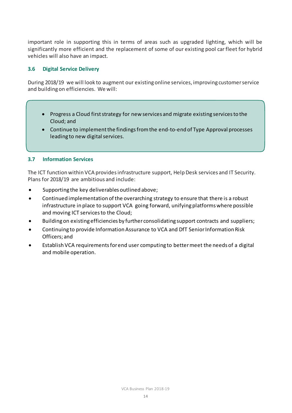important role in supporting this in terms of areas such as upgraded lighting, which will be significantly more efficient and the replacement of some of our existing pool car fleet for hybrid vehicles will also have an impact.

#### **3.6 Digital Service Delivery**

During 2018/19 we will look to augment our existing online services, improving customer service and building on efficiencies. We will:

- Progress a Cloud first strategy for new services and migrate existing services to the Cloud; and
- Continue to implement the findings from the end-to-end of Type Approval processes leading to new digital services.

#### **3.7 Information Services**

The ICT function within VCA provides infrastructure support, Help Desk services and IT Security. Plans for 2018/19 are ambitious and include:

- Supporting the key deliverables outlined above;
- Continued implementation of the overarching strategy to ensure that there is a robust infrastructure in place to support VCA going forward, unifying platforms where possible and moving ICT services to the Cloud;
- Buildingon existing efficiencies by further consolidating support contracts and suppliers;
- Continuing to provide Information Assurance to VCA and DfT Senior Information Risk Officers; and
- Establish VCA requirements for end user computing to better meet the needs of a digital and mobile operation.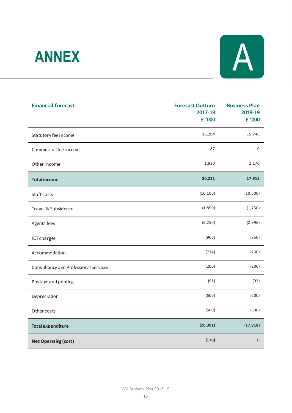# **ANNEX**



| <b>Financial forecast</b>             | <b>Forecast Outturn</b><br>2017-18 | <b>Business Plan</b><br>2018-19 |
|---------------------------------------|------------------------------------|---------------------------------|
|                                       | £ '000                             | £ '000                          |
| Statutory fee income                  | 18,204                             | 15,748                          |
| Commercial fee income                 | 87                                 | 0                               |
| Other income                          | 1,930                              | 2,170                           |
| <b>Total income</b>                   | 20,221                             | 17,918                          |
| Staff costs                           | (10, 100)                          | (10, 500)                       |
| Travel & Subsidence                   | (1,850)                            | (1,750)                         |
| Agents fees                           | (5, 250)                           | (2,996)                         |
| <b>ICT charges</b>                    | (966)                              | (850)                           |
| Accommodation                         | (734)                              | (730)                           |
| Consultancy and Professional Services | (200)                              | (200)                           |
| Postage and printing                  | (91)                               | (92)                            |
| Depreciation                          | (600)                              | (500)                           |
| Other costs                           | (600)                              | (300)                           |
| <b>Total expenditure</b>              | (20, 391)                          | (17, 918)                       |
| <b>Net Operating (cost)</b>           | (170)                              | $\mathbf{0}$                    |